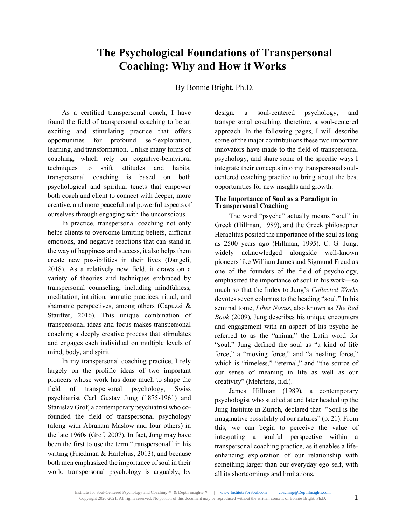# **The Psychological Foundations of Transpersonal Coaching: Why and How it Works**

By Bonnie Bright, Ph.D.

As a certified transpersonal coach, I have found the field of transpersonal coaching to be an exciting and stimulating practice that offers opportunities for profound self-exploration, learning, and transformation. Unlike many forms of coaching, which rely on cognitive-behavioral techniques to shift attitudes and habits, transpersonal coaching is based on both psychological and spiritual tenets that empower both coach and client to connect with deeper, more creative, and more peaceful and powerful aspects of ourselves through engaging with the unconscious.

In practice, transpersonal coaching not only helps clients to overcome limiting beliefs, difficult emotions, and negative reactions that can stand in the way of happiness and success, it also helps them create new possibilities in their lives (Dangeli, 2018). As a relatively new field, it draws on a variety of theories and techniques embraced by transpersonal counseling, including mindfulness, meditation, intuition, somatic practices, ritual, and shamanic perspectives, among others (Capuzzi & Stauffer, 2016). This unique combination of transpersonal ideas and focus makes transpersonal coaching a deeply creative process that stimulates and engages each individual on multiple levels of mind, body, and spirit.

In my transpersonal coaching practice, I rely largely on the prolific ideas of two important pioneers whose work has done much to shape the field of transpersonal psychology, Swiss psychiatrist Carl Gustav Jung (1875-1961) and Stanislav Grof, a contemporary psychiatrist who cofounded the field of transpersonal psychology (along with Abraham Maslow and four others) in the late 1960s (Grof, 2007). In fact, Jung may have been the first to use the term "transpersonal" in his writing (Friedman & Hartelius, 2013), and because both men emphasized the importance of soul in their work, transpersonal psychology is arguably, by design, a soul-centered psychology, and transpersonal coaching, therefore, a soul-centered approach. In the following pages, I will describe some of the major contributions these two important innovators have made to the field of transpersonal psychology, and share some of the specific ways I integrate their concepts into my transpersonal soulcentered coaching practice to bring about the best opportunities for new insights and growth.

# **The Importance of Soul as a Paradigm in Transpersonal Coaching**

The word "psyche" actually means "soul" in Greek (Hillman, 1989), and the Greek philosopher Heraclitus posited the importance of the soul as long as 2500 years ago (Hillman, 1995). C. G. Jung, widely acknowledged alongside well-known pioneers like William James and Sigmund Freud as one of the founders of the field of psychology, emphasized the importance of soul in his work—so much so that the Index to Jung's *Collected Works*  devotes seven columns to the heading "soul." In his seminal tome, *Liber Novus*, also known as *The Red Book* (2009), Jung describes his unique encounters and engagement with an aspect of his psyche he referred to as the "anima," the Latin word for "soul." Jung defined the soul as "a kind of life force," a "moving force," and "a healing force," which is "timeless," "eternal," and "the source of our sense of meaning in life as well as our creativity" (Mehrtens, n.d.).

James Hillman (1989), a contemporary psychologist who studied at and later headed up the Jung Institute in Zurich, declared that "Soul is the imaginative possibility of our natures" (p. 21). From this, we can begin to perceive the value of integrating a soulful perspective within a transpersonal coaching practice, as it enables a lifeenhancing exploration of our relationship with something larger than our everyday ego self, with all its shortcomings and limitations.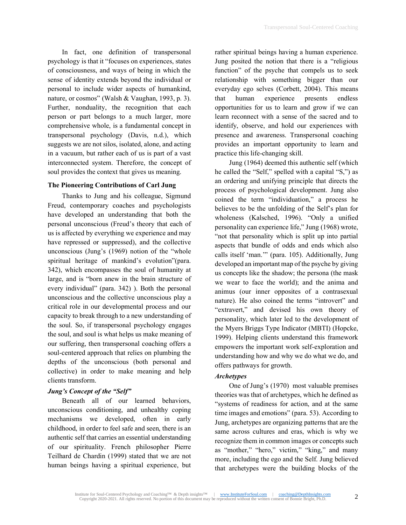In fact, one definition of transpersonal psychology is that it "focuses on experiences, states of consciousness, and ways of being in which the sense of identity extends beyond the individual or personal to include wider aspects of humankind, nature, or cosmos" (Walsh & Vaughan, 1993, p. 3). Further, nonduality, the recognition that each person or part belongs to a much larger, more comprehensive whole, is a fundamental concept in transpersonal psychology (Davis, n.d.), which suggests we are not silos, isolated, alone, and acting in a vacuum, but rather each of us is part of a vast interconnected system. Therefore, the concept of soul provides the context that gives us meaning.

## **The Pioneering Contributions of Carl Jung**

Thanks to Jung and his colleague, Sigmund Freud, contemporary coaches and psychologists have developed an understanding that both the personal unconscious (Freud's theory that each of us is affected by everything we experience and may have repressed or suppressed), and the collective unconscious (Jung's (1969) notion of the "whole spiritual heritage of mankind's evolution"(para. 342), which encompasses the soul of humanity at large, and is "born anew in the brain structure of every individual" (para. 342) ). Both the personal unconscious and the collective unconscious play a critical role in our developmental process and our capacity to break through to a new understanding of the soul. So, if transpersonal psychology engages the soul, and soul is what helps us make meaning of our suffering, then transpersonal coaching offers a soul-centered approach that relies on plumbing the depths of the unconscious (both personal and collective) in order to make meaning and help clients transform.

# *Jung's Concept of the "Self"*

Beneath all of our learned behaviors, unconscious conditioning, and unhealthy coping mechanisms we developed, often in early childhood, in order to feel safe and seen, there is an authentic self that carries an essential understanding of our spirituality. French philosopher Pierre Teilhard de Chardin (1999) stated that we are not human beings having a spiritual experience, but rather spiritual beings having a human experience. Jung posited the notion that there is a "religious function" of the psyche that compels us to seek relationship with something bigger than our everyday ego selves (Corbett, 2004). This means that human experience presents endless opportunities for us to learn and grow if we can learn reconnect with a sense of the sacred and to identify, observe, and hold our experiences with presence and awareness. Transpersonal coaching provides an important opportunity to learn and practice this life-changing skill.

Jung (1964) deemed this authentic self (which he called the "Self," spelled with a capital "S,") as an ordering and unifying principle that directs the process of psychological development. Jung also coined the term "individuation," a process he believes to be the unfolding of the Self's plan for wholeness (Kalsched, 1996). "Only a unified personality can experience life," Jung (1968) wrote, "not that personality which is split up into partial aspects that bundle of odds and ends which also calls itself 'man.'" (para. 105). Additionally, Jung developed an important map of the psyche by giving us concepts like the shadow; the persona (the mask we wear to face the world); and the anima and animus (our inner opposites of a contrasexual nature). He also coined the terms "introvert" and "extravert," and devised his own theory of personality, which later led to the development of the Myers Briggs Type Indicator (MBTI) (Hopcke, 1999). Helping clients understand this framework empowers the important work self-exploration and understanding how and why we do what we do, and offers pathways for growth.

## *Archetypes*

One of Jung's (1970) most valuable premises theories was that of archetypes, which he defined as "systems of readiness for action, and at the same time images and emotions" (para. 53). According to Jung, archetypes are organizing patterns that are the same across cultures and eras, which is why we recognize them in common images or concepts such as "mother," "hero," victim," "king," and many more, including the ego and the Self. Jung believed that archetypes were the building blocks of the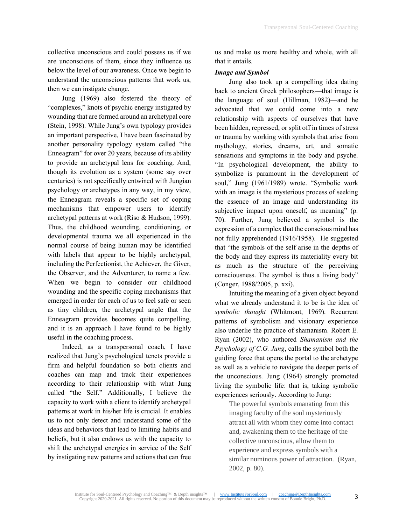collective unconscious and could possess us if we are unconscious of them, since they influence us below the level of our awareness. Once we begin to understand the unconscious patterns that work us, then we can instigate change.

Jung (1969) also fostered the theory of "complexes," knots of psychic energy instigated by wounding that are formed around an archetypal core (Stein, 1998). While Jung's own typology provides an important perspective, I have been fascinated by another personality typology system called "the Enneagram" for over 20 years, because of its ability to provide an archetypal lens for coaching. And, though its evolution as a system (some say over centuries) is not specifically entwined with Jungian psychology or archetypes in any way, in my view, the Enneagram reveals a specific set of coping mechanisms that empower users to identify archetypal patterns at work (Riso & Hudson, 1999). Thus, the childhood wounding, conditioning, or developmental trauma we all experienced in the normal course of being human may be identified with labels that appear to be highly archetypal, including the Perfectionist, the Achiever, the Giver, the Observer, and the Adventurer, to name a few. When we begin to consider our childhood wounding and the specific coping mechanisms that emerged in order for each of us to feel safe or seen as tiny children, the archetypal angle that the Enneagram provides becomes quite compelling, and it is an approach I have found to be highly useful in the coaching process.

Indeed, as a transpersonal coach, I have realized that Jung's psychological tenets provide a firm and helpful foundation so both clients and coaches can map and track their experiences according to their relationship with what Jung called "the Self." Additionally, I believe the capacity to work with a client to identify archetypal patterns at work in his/her life is crucial. It enables us to not only detect and understand some of the ideas and behaviors that lead to limiting habits and beliefs, but it also endows us with the capacity to shift the archetypal energies in service of the Self by instigating new patterns and actions that can free

us and make us more healthy and whole, with all that it entails.

#### *Image and Symbol*

Jung also took up a compelling idea dating back to ancient Greek philosophers—that image is the language of soul (Hillman, 1982)—and he advocated that we could come into a new relationship with aspects of ourselves that have been hidden, repressed, or split off in times of stress or trauma by working with symbols that arise from mythology, stories, dreams, art, and somatic sensations and symptoms in the body and psyche. "In psychological development, the ability to symbolize is paramount in the development of soul," Jung (1961/1989) wrote. "Symbolic work with an image is the mysterious process of seeking the essence of an image and understanding its subjective impact upon oneself, as meaning" (p. 70). Further, Jung believed a symbol is the expression of a complex that the conscious mind has not fully apprehended (1916/1958). He suggested that "the symbols of the self arise in the depths of the body and they express its materiality every bit as much as the structure of the perceiving consciousness. The symbol is thus a living body" (Conger, 1988/2005, p. xxi).

Intuiting the meaning of a given object beyond what we already understand it to be is the idea of *symbolic thought* (Whitmont, 1969). Recurrent patterns of symbolism and visionary experience also underlie the practice of shamanism. Robert E. Ryan (2002), who authored *Shamanism and the Psychology of C.G. Jung*, calls the symbol both the guiding force that opens the portal to the archetype as well as a vehicle to navigate the deeper parts of the unconscious. Jung (1964) strongly promoted living the symbolic life: that is, taking symbolic experiences seriously. According to Jung:

The powerful symbols emanating from this imaging faculty of the soul mysteriously attract all with whom they come into contact and, awakening them to the heritage of the collective unconscious, allow them to experience and express symbols with a similar numinous power of attraction. (Ryan, 2002, p. 80).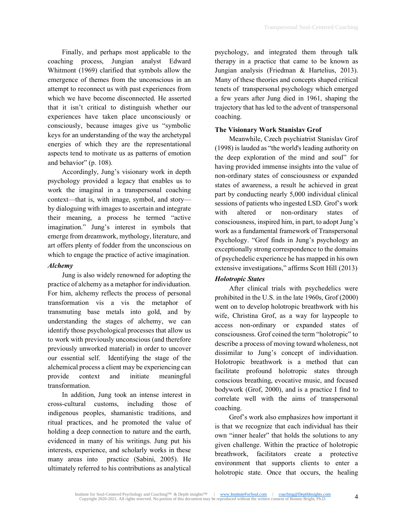Finally, and perhaps most applicable to the coaching process, Jungian analyst Edward Whitmont (1969) clarified that symbols allow the emergence of themes from the unconscious in an attempt to reconnect us with past experiences from which we have become disconnected. He asserted that it isn't critical to distinguish whether our experiences have taken place unconsciously or consciously, because images give us "symbolic keys for an understanding of the way the archetypal energies of which they are the representational aspects tend to motivate us as patterns of emotion and behavior" (p. 108).

Accordingly, Jung's visionary work in depth psychology provided a legacy that enables us to work the imaginal in a transpersonal coaching context—that is, with image, symbol, and story by dialoguing with images to ascertain and integrate their meaning, a process he termed "active imagination." Jung's interest in symbols that emerge from dreamwork, mythology, literature, and art offers plenty of fodder from the unconscious on which to engage the practice of active imagination.

## *Alchemy*

Jung is also widely renowned for adopting the practice of alchemy as a metaphor for individuation. For him, alchemy reflects the process of personal transformation vis a vis the metaphor of transmuting base metals into gold, and by understanding the stages of alchemy, we can identify those psychological processes that allow us to work with previously unconscious (and therefore previously unworked material) in order to uncover our essential self. Identifying the stage of the alchemical process a client may be experiencing can provide context and initiate meaningful transformation.

In addition, Jung took an intense interest in cross-cultural customs, including those of indigenous peoples, shamanistic traditions, and ritual practices, and he promoted the value of holding a deep connection to nature and the earth, evidenced in many of his writings. Jung put his interests, experience, and scholarly works in these many areas into practice (Sabini, 2005). He ultimately referred to his contributions as analytical

psychology, and integrated them through talk therapy in a practice that came to be known as Jungian analysis (Friedman & Hartelius, 2013). Many of these theories and concepts shaped critical tenets of transpersonal psychology which emerged a few years after Jung died in 1961, shaping the trajectory that has led to the advent of transpersonal coaching.

# **The Visionary Work Stanislav Grof**

Meanwhile, Czech psychiatrist Stanislav Grof (1998) is lauded as "the world's leading authority on the deep exploration of the mind and soul" for having provided immense insights into the value of non-ordinary states of consciousness or expanded states of awareness, a result he achieved in great part by conducting nearly 5,000 individual clinical sessions of patients who ingested LSD. Grof's work with altered or non-ordinary states of consciousness, inspired him, in part, to adopt Jung's work as a fundamental framework of Transpersonal Psychology. "Grof finds in Jung's psychology an exceptionally strong correspondence to the domains of psychedelic experience he has mapped in his own extensive investigations," affirms Scott Hill (2013)

# *Holotropic States*

After clinical trials with psychedelics were prohibited in the U.S. in the late 1960s, Grof (2000) went on to develop holotropic breathwork with his wife, Christina Grof, as a way for laypeople to access non-ordinary or expanded states of consciousness. Grof coined the term "holotropic" to describe a process of moving toward wholeness, not dissimilar to Jung's concept of individuation. Holotropic breathwork is a method that can facilitate profound holotropic states through conscious breathing, evocative music, and focused bodywork (Grof, 2000), and is a practice I find to correlate well with the aims of transpersonal coaching.

Grof's work also emphasizes how important it is that we recognize that each individual has their own "inner healer" that holds the solutions to any given challenge. Within the practice of holotropic breathwork, facilitators create a protective environment that supports clients to enter a holotropic state. Once that occurs, the healing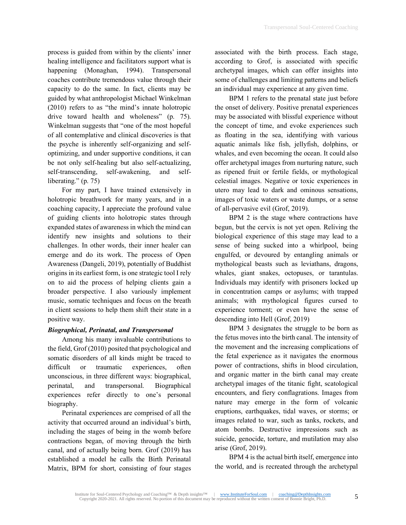process is guided from within by the clients' inner healing intelligence and facilitators support what is happening (Monaghan, 1994). Transpersonal coaches contribute tremendous value through their capacity to do the same. In fact, clients may be guided by what anthropologist Michael Winkelman (2010) refers to as "the mind's innate holotropic drive toward health and wholeness" (p. 75). Winkelman suggests that "one of the most hopeful of all contemplative and clinical discoveries is that the psyche is inherently self-organizing and selfoptimizing, and under supportive conditions, it can be not only self-healing but also self-actualizing, self-transcending, self-awakening, and selfliberating." (p. 75)

For my part, I have trained extensively in holotropic breathwork for many years, and in a coaching capacity, I appreciate the profound value of guiding clients into holotropic states through expanded states of awareness in which the mind can identify new insights and solutions to their challenges. In other words, their inner healer can emerge and do its work. The process of Open Awareness (Dangeli, 2019), potentially of Buddhist origins in its earliest form, is one strategic tool I rely on to aid the process of helping clients gain a broader perspective. I also variously implement music, somatic techniques and focus on the breath in client sessions to help them shift their state in a positive way.

## *Biographical, Perinatal, and Transpersonal*

Among his many invaluable contributions to the field, Grof (2010) posited that psychological and somatic disorders of all kinds might be traced to difficult or traumatic experiences, often unconscious, in three different ways: biographical, perinatal, and transpersonal. Biographical experiences refer directly to one's personal biography.

Perinatal experiences are comprised of all the activity that occurred around an individual's birth, including the stages of being in the womb before contractions began, of moving through the birth canal, and of actually being born. Grof (2019) has established a model he calls the Birth Perinatal Matrix, BPM for short, consisting of four stages associated with the birth process. Each stage, according to Grof, is associated with specific archetypal images, which can offer insights into some of challenges and limiting patterns and beliefs an individual may experience at any given time.

BPM 1 refers to the prenatal state just before the onset of delivery. Positive prenatal experiences may be associated with blissful experience without the concept of time, and evoke experiences such as floating in the sea, identifying with various aquatic animals like fish, jellyfish, dolphins, or whales, and even becoming the ocean. It could also offer archetypal images from nurturing nature, such as ripened fruit or fertile fields, or mythological celestial images. Negative or toxic experiences in utero may lead to dark and ominous sensations, images of toxic waters or waste dumps, or a sense of all-pervasive evil (Grof, 2019).

BPM 2 is the stage where contractions have begun, but the cervix is not yet open. Reliving the biological experience of this stage may lead to a sense of being sucked into a whirlpool, being engulfed, or devoured by entangling animals or mythological beasts such as leviathans, dragons, whales, giant snakes, octopuses, or tarantulas. Individuals may identify with prisoners locked up in concentration camps or asylums; with trapped animals; with mythological figures cursed to experience torment; or even have the sense of descending into Hell (Grof, 2019)

BPM 3 designates the struggle to be born as the fetus moves into the birth canal. The intensity of the movement and the increasing complications of the fetal experience as it navigates the enormous power of contractions, shifts in blood circulation, and organic matter in the birth canal may create archetypal images of the titanic fight, scatological encounters, and fiery conflagrations. Images from nature may emerge in the form of volcanic eruptions, earthquakes, tidal waves, or storms; or images related to war, such as tanks, rockets, and atom bombs. Destructive impressions such as suicide, genocide, torture, and mutilation may also arise (Grof, 2019).

BPM 4 is the actual birth itself, emergence into the world, and is recreated through the archetypal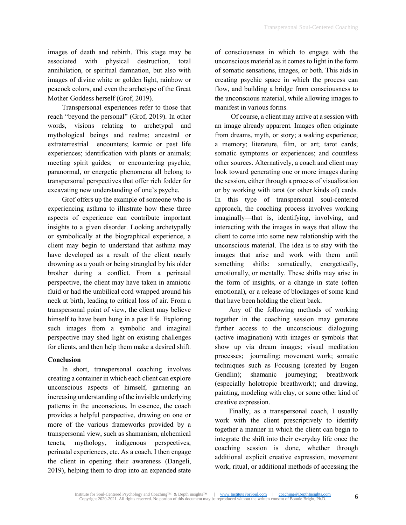images of death and rebirth. This stage may be associated with physical destruction, total annihilation, or spiritual damnation, but also with images of divine white or golden light, rainbow or peacock colors, and even the archetype of the Great Mother Goddess herself (Grof, 2019).

Transpersonal experiences refer to those that reach "beyond the personal" (Grof, 2019). In other words, visions relating to archetypal and mythological beings and realms; ancestral or extraterrestrial encounters; karmic or past life experiences; identification with plants or animals; meeting spirit guides; or encountering psychic, paranormal, or energetic phenomena all belong to transpersonal perspectives that offer rich fodder for excavating new understanding of one's psyche.

Grof offers up the example of someone who is experiencing asthma to illustrate how these three aspects of experience can contribute important insights to a given disorder. Looking archetypally or symbolically at the biographical experience, a client may begin to understand that asthma may have developed as a result of the client nearly drowning as a youth or being strangled by his older brother during a conflict. From a perinatal perspective, the client may have taken in amniotic fluid or had the umbilical cord wrapped around his neck at birth, leading to critical loss of air. From a transpersonal point of view, the client may believe himself to have been hung in a past life. Exploring such images from a symbolic and imaginal perspective may shed light on existing challenges for clients, and then help them make a desired shift.

# **Conclusion**

In short, transpersonal coaching involves creating a container in which each client can explore unconscious aspects of himself, garnering an increasing understanding of the invisible underlying patterns in the unconscious. In essence, the coach provides a helpful perspective, drawing on one or more of the various frameworks provided by a transpersonal view, such as shamanism, alchemical tenets, mythology, indigenous perspectives, perinatal experiences, etc. As a coach, I then engage the client in opening their awareness (Dangeli, 2019), helping them to drop into an expanded state of consciousness in which to engage with the unconscious material as it comes to light in the form of somatic sensations, images, or both. This aids in creating psychic space in which the process can flow, and building a bridge from consciousness to the unconscious material, while allowing images to manifest in various forms.

Of course, a client may arrive at a session with an image already apparent. Images often originate from dreams, myth, or story; a waking experience; a memory; literature, film, or art; tarot cards; somatic symptoms or experiences; and countless other sources. Alternatively, a coach and client may look toward generating one or more images during the session, either through a process of visualization or by working with tarot (or other kinds of) cards. In this type of transpersonal soul-centered approach, the coaching process involves working imaginally—that is, identifying, involving, and interacting with the images in ways that allow the client to come into some new relationship with the unconscious material. The idea is to stay with the images that arise and work with them until something shifts: somatically, energetically, emotionally, or mentally. These shifts may arise in the form of insights, or a change in state (often emotional), or a release of blockages of some kind that have been holding the client back.

Any of the following methods of working together in the coaching session may generate further access to the unconscious: dialoguing (active imagination) with images or symbols that show up via dream images; visual meditation processes; journaling; movement work; somatic techniques such as Focusing (created by Eugen Gendlin); shamanic journeying; breathwork (especially holotropic breathwork); and drawing, painting, modeling with clay, or some other kind of creative expression.

Finally, as a transpersonal coach, I usually work with the client prescriptively to identify together a manner in which the client can begin to integrate the shift into their everyday life once the coaching session is done, whether through additional explicit creative expression, movement work, ritual, or additional methods of accessing the